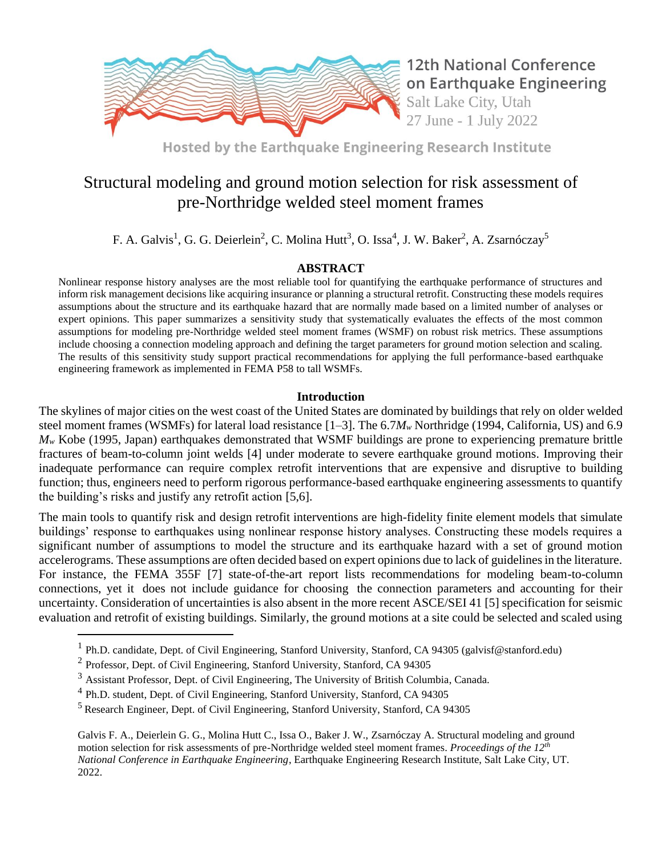

**12th National Conference** on Earthquake Engineering Salt Lake City, Utah 27 June - 1 July 2022

Hosted by the Earthquake Engineering Research Institute

# Structural modeling and ground motion selection for risk assessment of pre-Northridge welded steel moment frames

F. A. Galvis<sup>1</sup>, G. G. Deierlein<sup>2</sup>, C. Molina Hutt<sup>3</sup>, O. Issa<sup>4</sup>, J. W. Baker<sup>2</sup>, A. Zsarnóczay<sup>5</sup>

## **ABSTRACT**

Nonlinear response history analyses are the most reliable tool for quantifying the earthquake performance of structures and inform risk management decisions like acquiring insurance or planning a structural retrofit. Constructing these models requires assumptions about the structure and its earthquake hazard that are normally made based on a limited number of analyses or expert opinions. This paper summarizes a sensitivity study that systematically evaluates the effects of the most common assumptions for modeling pre-Northridge welded steel moment frames (WSMF) on robust risk metrics. These assumptions include choosing a connection modeling approach and defining the target parameters for ground motion selection and scaling. The results of this sensitivity study support practical recommendations for applying the full performance-based earthquake engineering framework as implemented in FEMA P58 to tall WSMFs.

## **Introduction**

The skylines of major cities on the west coast of the United States are dominated by buildings that rely on older welded steel moment frames (WSMFs) for lateral load resistance [1–3]. The 6.7*M<sup>w</sup>* Northridge (1994, California, US) and 6.9 *M<sup>w</sup>* Kobe (1995, Japan) earthquakes demonstrated that WSMF buildings are prone to experiencing premature brittle fractures of beam-to-column joint welds [4] under moderate to severe earthquake ground motions. Improving their inadequate performance can require complex retrofit interventions that are expensive and disruptive to building function; thus, engineers need to perform rigorous performance-based earthquake engineering assessments to quantify the building's risks and justify any retrofit action [5,6].

The main tools to quantify risk and design retrofit interventions are high-fidelity finite element models that simulate buildings' response to earthquakes using nonlinear response history analyses. Constructing these models requires a significant number of assumptions to model the structure and its earthquake hazard with a set of ground motion accelerograms. These assumptions are often decided based on expert opinions due to lack of guidelines in the literature. For instance, the FEMA 355F [7] state-of-the-art report lists recommendations for modeling beam-to-column connections, yet it does not include guidance for choosing the connection parameters and accounting for their uncertainty. Consideration of uncertainties is also absent in the more recent ASCE/SEI 41 [5] specification for seismic evaluation and retrofit of existing buildings. Similarly, the ground motions at a site could be selected and scaled using

Galvis F. A., Deierlein G. G., Molina Hutt C., Issa O., Baker J. W., Zsarnóczay A. Structural modeling and ground motion selection for risk assessments of pre-Northridge welded steel moment frames. *Proceedings of the 12th National Conference in Earthquake Engineering*, Earthquake Engineering Research Institute, Salt Lake City, UT. 2022.

<sup>&</sup>lt;sup>1</sup> Ph.D. candidate, Dept. of Civil Engineering, Stanford University, Stanford, CA 94305 (galvisf@stanford.edu)

 $2$  Professor, Dept. of Civil Engineering, Stanford University, Stanford, CA 94305

<sup>&</sup>lt;sup>3</sup> Assistant Professor, Dept. of Civil Engineering, The University of British Columbia, Canada.

<sup>&</sup>lt;sup>4</sup> Ph.D. student, Dept. of Civil Engineering, Stanford University, Stanford, CA 94305

<sup>5</sup> Research Engineer, Dept. of Civil Engineering, Stanford University, Stanford, CA 94305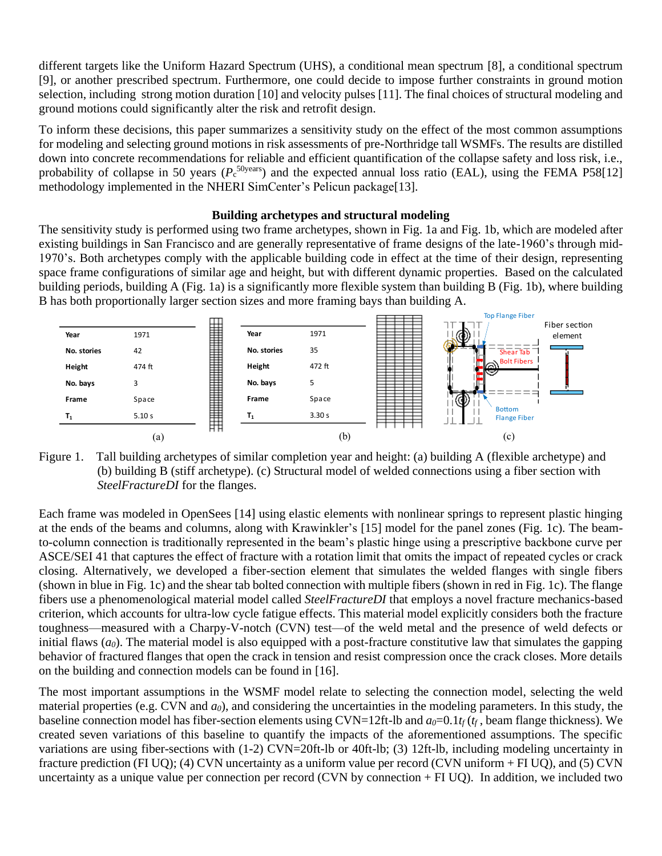different targets like the Uniform Hazard Spectrum (UHS), a conditional mean spectrum [8], a conditional spectrum [9], or another prescribed spectrum. Furthermore, one could decide to impose further constraints in ground motion selection, including strong motion duration [10] and velocity pulses [11]. The final choices of structural modeling and ground motions could significantly alter the risk and retrofit design.

To inform these decisions, this paper summarizes a sensitivity study on the effect of the most common assumptions for modeling and selecting ground motions in risk assessments of pre-Northridge tall WSMFs. The results are distilled down into concrete recommendations for reliable and efficient quantification of the collapse safety and loss risk, i.e., probability of collapse in 50 years ( $P_c^{50years}$ ) and the expected annual loss ratio (EAL), using the FEMA P58[12] methodology implemented in the NHERI SimCenter's Pelicun package[13].

### **Building archetypes and structural modeling**

The sensitivity study is performed using two frame archetypes, shown in Fig. 1a and Fig. 1b, which are modeled after existing buildings in San Francisco and are generally representative of frame designs of the late-1960's through mid-1970's. Both archetypes comply with the applicable building code in effect at the time of their design, representing space frame configurations of similar age and height, but with different dynamic properties. Based on the calculated building periods, building A (Fig. 1a) is a significantly more flexible system than building B (Fig. 1b), where building B has both proportionally larger section sizes and more framing bays than building A.



Figure 1. Tall building archetypes of similar completion year and height: (a) building A (flexible archetype) and (b) building B (stiff archetype). (c) Structural model of welded connections using a fiber section with *SteelFractureDI* for the flanges.

Each frame was modeled in OpenSees [14] using elastic elements with nonlinear springs to represent plastic hinging at the ends of the beams and columns, along with Krawinkler's [15] model for the panel zones (Fig. 1c). The beamto-column connection is traditionally represented in the beam's plastic hinge using a prescriptive backbone curve per ASCE/SEI 41 that captures the effect of fracture with a rotation limit that omits the impact of repeated cycles or crack closing. Alternatively, we developed a fiber-section element that simulates the welded flanges with single fibers (shown in blue in Fig. 1c) and the shear tab bolted connection with multiple fibers (shown in red in Fig. 1c). The flange fibers use a phenomenological material model called *SteelFractureDI* that employs a novel fracture mechanics-based criterion, which accounts for ultra-low cycle fatigue effects. This material model explicitly considers both the fracture toughness—measured with a Charpy-V-notch (CVN) test—of the weld metal and the presence of weld defects or initial flaws  $(a_0)$ . The material model is also equipped with a post-fracture constitutive law that simulates the gapping behavior of fractured flanges that open the crack in tension and resist compression once the crack closes. More details on the building and connection models can be found in [16].

The most important assumptions in the WSMF model relate to selecting the connection model, selecting the weld material properties (e.g. CVN and *a0*), and considering the uncertainties in the modeling parameters. In this study, the baseline connection model has fiber-section elements using CVN=12ft-lb and  $a_0=0.1t_f(t_f)$ , beam flange thickness). We created seven variations of this baseline to quantify the impacts of the aforementioned assumptions. The specific variations are using fiber-sections with (1-2) CVN=20ft-lb or 40ft-lb; (3) 12ft-lb, including modeling uncertainty in fracture prediction (FI UQ); (4) CVN uncertainty as a uniform value per record (CVN uniform + FI UQ), and (5) CVN uncertainty as a unique value per connection per record (CVN by connection + FI UQ). In addition, we included two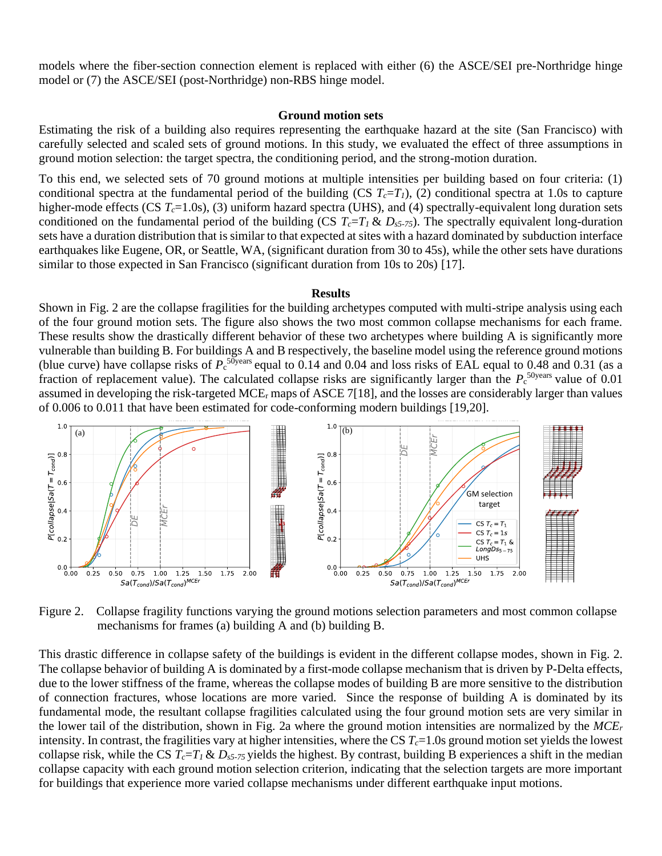models where the fiber-section connection element is replaced with either (6) the ASCE/SEI pre-Northridge hinge model or (7) the ASCE/SEI (post-Northridge) non-RBS hinge model.

#### **Ground motion sets**

Estimating the risk of a building also requires representing the earthquake hazard at the site (San Francisco) with carefully selected and scaled sets of ground motions. In this study, we evaluated the effect of three assumptions in ground motion selection: the target spectra, the conditioning period, and the strong-motion duration.

To this end, we selected sets of 70 ground motions at multiple intensities per building based on four criteria: (1) conditional spectra at the fundamental period of the building (CS  $T_c=T_l$ ), (2) conditional spectra at 1.0s to capture higher-mode effects (CS *Tc*=1.0s), (3) uniform hazard spectra (UHS), and (4) spectrally-equivalent long duration sets conditioned on the fundamental period of the building (CS  $T_c = T_l \& D_{s5-75}$ ). The spectrally equivalent long-duration sets have a duration distribution that is similar to that expected at sites with a hazard dominated by subduction interface earthquakes like Eugene, OR, or Seattle, WA, (significant duration from 30 to 45s), while the other sets have durations similar to those expected in San Francisco (significant duration from 10s to 20s) [17].

#### **Results**

Shown in Fig. 2 are the collapse fragilities for the building archetypes computed with multi-stripe analysis using each of the four ground motion sets. The figure also shows the two most common collapse mechanisms for each frame. These results show the drastically different behavior of these two archetypes where building A is significantly more vulnerable than building B. For buildings A and B respectively, the baseline model using the reference ground motions (blue curve) have collapse risks of  $P_c$ <sup>50years</sup> equal to 0.14 and 0.04 and loss risks of EAL equal to 0.48 and 0.31 (as a fraction of replacement value). The calculated collapse risks are significantly larger than the  $P_c^{50 \text{years}}$  value of 0.01 assumed in developing the risk-targeted MCE<sub>r</sub> maps of ASCE 7[18], and the losses are considerably larger than values of 0.006 to 0.011 that have been estimated for code-conforming modern buildings [19,20].



Figure 2. Collapse fragility functions varying the ground motions selection parameters and most common collapse mechanisms for frames (a) building A and (b) building B.

This drastic difference in collapse safety of the buildings is evident in the different collapse modes, shown in Fig. 2. The collapse behavior of building A is dominated by a first-mode collapse mechanism that is driven by P-Delta effects, due to the lower stiffness of the frame, whereas the collapse modes of building B are more sensitive to the distribution of connection fractures, whose locations are more varied. Since the response of building A is dominated by its fundamental mode, the resultant collapse fragilities calculated using the four ground motion sets are very similar in the lower tail of the distribution, shown in Fig. 2a where the ground motion intensities are normalized by the *MCE<sup>r</sup>* intensity. In contrast, the fragilities vary at higher intensities, where the CS  $T_c=1.0$ s ground motion set yields the lowest collapse risk, while the CS  $T_c = T_l \& D_{s5-75}$  yields the highest. By contrast, building B experiences a shift in the median collapse capacity with each ground motion selection criterion, indicating that the selection targets are more important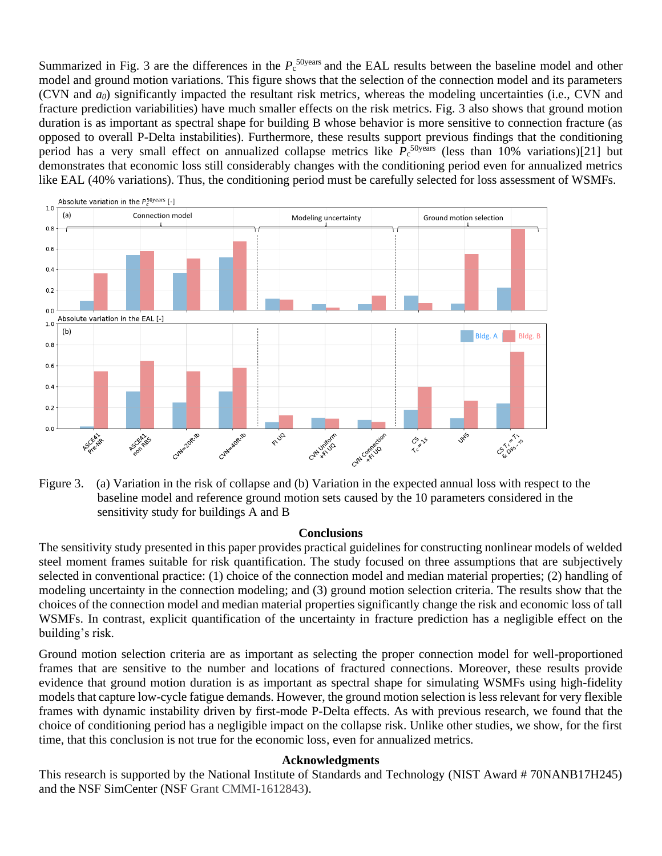Summarized in Fig. 3 are the differences in the  $P_c$ <sup>50years</sup> and the EAL results between the baseline model and other model and ground motion variations. This figure shows that the selection of the connection model and its parameters (CVN and *a0*) significantly impacted the resultant risk metrics, whereas the modeling uncertainties (i.e., CVN and fracture prediction variabilities) have much smaller effects on the risk metrics. Fig. 3 also shows that ground motion duration is as important as spectral shape for building B whose behavior is more sensitive to connection fracture (as opposed to overall P-Delta instabilities). Furthermore, these results support previous findings that the conditioning period has a very small effect on annualized collapse metrics like  $P_c$ <sup>50years</sup> (less than 10% variations)[21] but demonstrates that economic loss still considerably changes with the conditioning period even for annualized metrics like EAL (40% variations). Thus, the conditioning period must be carefully selected for loss assessment of WSMFs.



Figure 3. (a) Variation in the risk of collapse and (b) Variation in the expected annual loss with respect to the baseline model and reference ground motion sets caused by the 10 parameters considered in the sensitivity study for buildings A and B

#### **Conclusions**

The sensitivity study presented in this paper provides practical guidelines for constructing nonlinear models of welded steel moment frames suitable for risk quantification. The study focused on three assumptions that are subjectively selected in conventional practice: (1) choice of the connection model and median material properties; (2) handling of modeling uncertainty in the connection modeling; and (3) ground motion selection criteria. The results show that the choices of the connection model and median material properties significantly change the risk and economic loss of tall WSMFs. In contrast, explicit quantification of the uncertainty in fracture prediction has a negligible effect on the building's risk.

Ground motion selection criteria are as important as selecting the proper connection model for well-proportioned frames that are sensitive to the number and locations of fractured connections. Moreover, these results provide evidence that ground motion duration is as important as spectral shape for simulating WSMFs using high-fidelity models that capture low-cycle fatigue demands. However, the ground motion selection is less relevant for very flexible frames with dynamic instability driven by first-mode P-Delta effects. As with previous research, we found that the choice of conditioning period has a negligible impact on the collapse risk. Unlike other studies, we show, for the first time, that this conclusion is not true for the economic loss, even for annualized metrics.

#### **Acknowledgments**

This research is supported by the National Institute of Standards and Technology (NIST Award # 70NANB17H245)